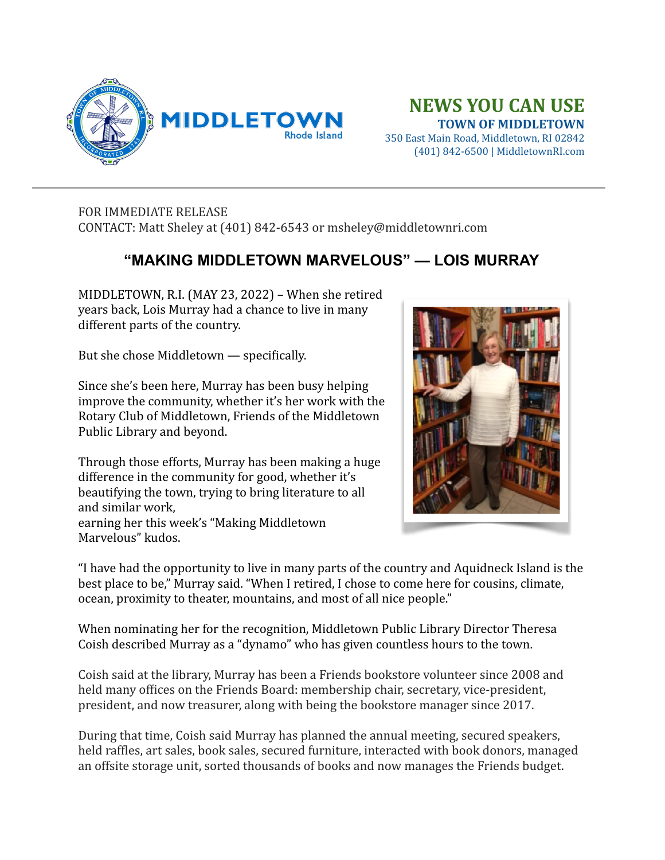

## **NEWS YOU CAN USE TOWN OF MIDDLETOWN**

350 East Main Road, Middletown, RI 02842 (401) 842-6500 | MiddletownRI.com

## FOR IMMEDIATE RELEASE CONTACT: Matt Sheley at (401) 842-6543 or msheley@middletownri.com

## **"MAKING MIDDLETOWN MARVELOUS" — LOIS MURRAY**

MIDDLETOWN, R.I. (MAY 23, 2022) – When she retired years back, Lois Murray had a chance to live in many different parts of the country.

But she chose Middletown  $-$  specifically.

Since she's been here, Murray has been busy helping improve the community, whether it's her work with the Rotary Club of Middletown, Friends of the Middletown Public Library and beyond.

Through those efforts, Murray has been making a huge difference in the community for good, whether it's beautifying the town, trying to bring literature to all and similar work,

earning her this week's "Making Middletown" Marvelous" kudos.



"I have had the opportunity to live in many parts of the country and Aquidneck Island is the best place to be," Murray said. "When I retired, I chose to come here for cousins, climate, ocean, proximity to theater, mountains, and most of all nice people."

When nominating her for the recognition, Middletown Public Library Director Theresa Coish described Murray as a "dynamo" who has given countless hours to the town.

Coish said at the library, Murray has been a Friends bookstore volunteer since 2008 and held many offices on the Friends Board: membership chair, secretary, vice-president, president, and now treasurer, along with being the bookstore manager since 2017.

During that time, Coish said Murray has planned the annual meeting, secured speakers, held raffles, art sales, book sales, secured furniture, interacted with book donors, managed an offsite storage unit, sorted thousands of books and now manages the Friends budget.